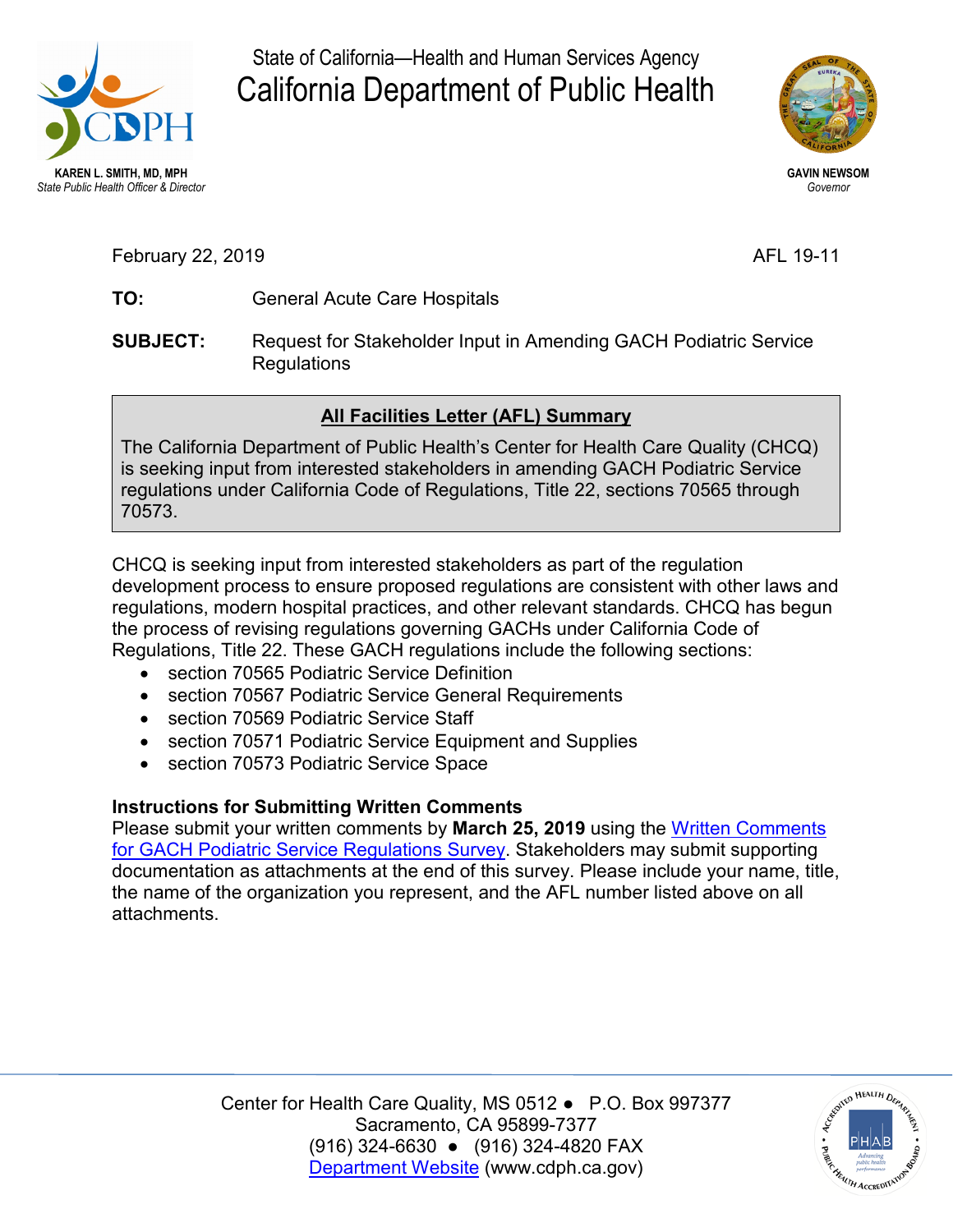

State of California—Health and Human Services Agency California Department of Public Health



**GAVIN NEWSOM**  *Governor* 

February 22, 2019

AFL 19-11

- **TO:** General Acute Care Hospitals
- **SUBJECT:** Request for Stakeholder Input in Amending GACH Podiatric Service Regulations

## **All Facilities Letter (AFL) Summary**

The California Department of Public Health's Center for Health Care Quality (CHCQ) is seeking input from interested stakeholders in amending GACH Podiatric Service regulations under California Code of Regulations, Title 22, sections 70565 through 70573.

 CHCQ is seeking input from interested stakeholders as part of the regulation Regulations, Title 22. These GACH regulations include the following sections: development process to ensure proposed regulations are consistent with other laws and regulations, modern hospital practices, and other relevant standards. CHCQ has begun the process of revising regulations governing GACHs under California Code of

- section 70565 Podiatric Service Definition
- section 70567 Podiatric Service General Requirements
- section 70569 Podiatric Service Staff
- section 70571 Podiatric Service Equipment and Supplies
- section 70573 Podiatric Service Space

## **Instructions for Submitting Written Comments**

 Please submit your written comments by **March 25, 2019** using the [Written Comments](https://www.surveymonkey.com/r/JS3RKVK)  [for GACH Podiatric Service Regulations Survey.](https://www.surveymonkey.com/r/JS3RKVK) Stakeholders may submit supporting documentation as attachments at the end of this survey. Please include your name, title, the name of the organization you represent, and the AFL number listed above on all attachments.